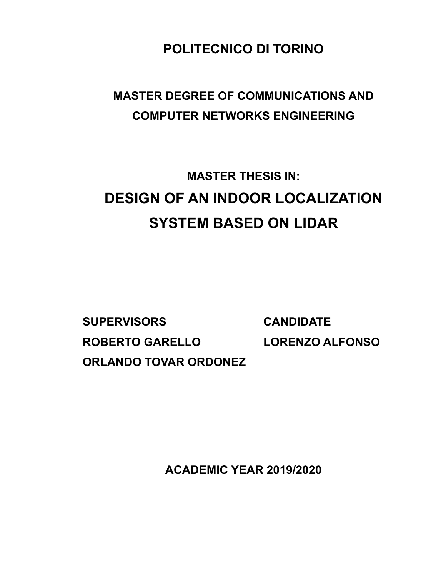**POLITECNICO DI TORINO**

# **MASTER DEGREE OF COMMUNICATIONS AND COMPUTER NETWORKS ENGINEERING**

# **MASTER THESIS IN: DESIGN OF AN INDOOR LOCALIZATION SYSTEM BASED ON LIDAR**

**SUPERVISORS CANDIDATE ROBERTO GARELLO LORENZO ALFONSO ORLANDO TOVAR ORDONEZ**

**ACADEMIC YEAR 2019/2020**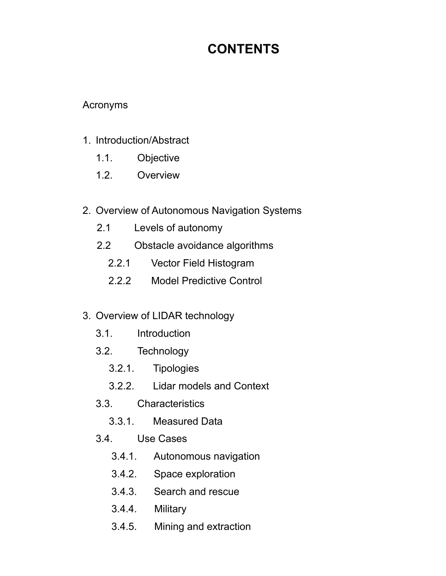# **CONTENTS**

#### Acronyms

#### 1. Introduction/Abstract

- 1.1. Objective
- 1.2. Overview
- 2. Overview of Autonomous Navigation Systems
	- 2.1 Levels of autonomy
	- 2.2 Obstacle avoidance algorithms
		- 2.2.1 Vector Field Histogram
		- 2.2.2 Model Predictive Control

#### 3. Overview of LIDAR technology

- 3.1. Introduction
- 3.2. Technology
	- 3.2.1. Tipologies
	- 3.2.2. Lidar models and Context
- 3.3. Characteristics
	- 3.3.1. Measured Data
- 3.4. Use Cases
	- 3.4.1. Autonomous navigation
	- 3.4.2. Space exploration
	- 3.4.3. Search and rescue
	- 3.4.4. Military
	- 3.4.5. Mining and extraction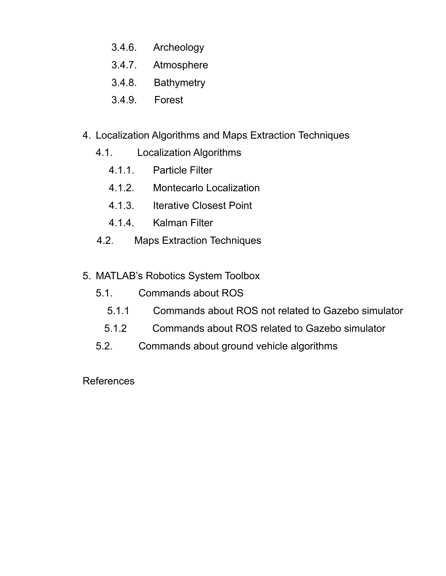- 3.4.6. Archeology
- 3.4.7. Atmosphere
- 3.4.8. Bathymetry
- 3.4.9. Forest
- 4. Localization Algorithms and Maps Extraction Techniques
	- 4.1. Localization Algorithms
		- 4.1.1. Particle Filter
		- 4.1.2. Montecarlo Localization
		- 4.1.3. Iterative Closest Point
		- 4.1.4. Kalman Filter
	- 4.2. Maps Extraction Techniques
- 5. MATLAB's Robotics System Toolbox
	- 5.1. Commands about ROS
		- 5.1.1 Commands about ROS not related to Gazebo simulator
		- 5.1.2 Commands about ROS related to Gazebo simulator
	- 5.2. Commands about ground vehicle algorithms

References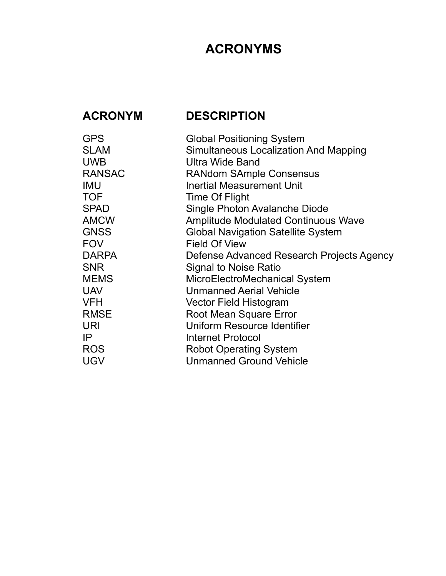# **ACRONYMS**

# **ACRONYM DESCRIPTION**

| <b>Global Positioning System</b>             |
|----------------------------------------------|
| <b>Simultaneous Localization And Mapping</b> |
| <b>Ultra Wide Band</b>                       |
| <b>RANdom SAmple Consensus</b>               |
| <b>Inertial Measurement Unit</b>             |
| Time Of Flight                               |
| Single Photon Avalanche Diode                |
| <b>Amplitude Modulated Continuous Wave</b>   |
| <b>Global Navigation Satellite System</b>    |
| <b>Field Of View</b>                         |
| Defense Advanced Research Projects Agency    |
| <b>Signal to Noise Ratio</b>                 |
| MicroElectroMechanical System                |
| <b>Unmanned Aerial Vehicle</b>               |
| Vector Field Histogram                       |
| Root Mean Square Error                       |
| <b>Uniform Resource Identifier</b>           |
| <b>Internet Protocol</b>                     |
| <b>Robot Operating System</b>                |
| <b>Unmanned Ground Vehicle</b>               |
|                                              |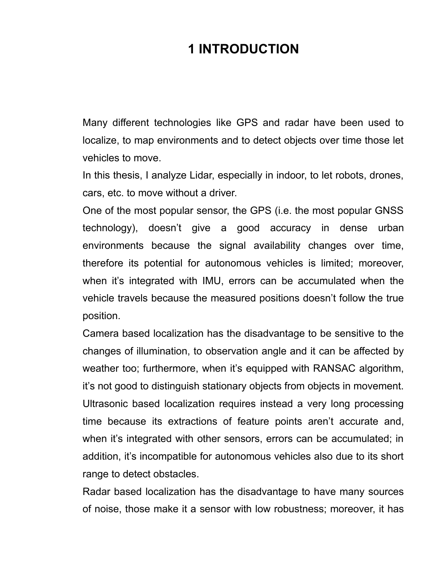# **1 INTRODUCTION**

Many different technologies like GPS and radar have been used to localize, to map environments and to detect objects over time those let vehicles to move.

In this thesis, I analyze Lidar, especially in indoor, to let robots, drones, cars, etc. to move without a driver.

One of the most popular sensor, the GPS (i.e. the most popular GNSS technology), doesn't give a good accuracy in dense urban environments because the signal availability changes over time, therefore its potential for autonomous vehicles is limited; moreover, when it's integrated with IMU, errors can be accumulated when the vehicle travels because the measured positions doesn't follow the true position.

Camera based localization has the disadvantage to be sensitive to the changes of illumination, to observation angle and it can be affected by weather too; furthermore, when it's equipped with RANSAC algorithm, it's not good to distinguish stationary objects from objects in movement. Ultrasonic based localization requires instead a very long processing time because its extractions of feature points aren't accurate and, when it's integrated with other sensors, errors can be accumulated; in addition, it's incompatible for autonomous vehicles also due to its short range to detect obstacles.

Radar based localization has the disadvantage to have many sources of noise, those make it a sensor with low robustness; moreover, it has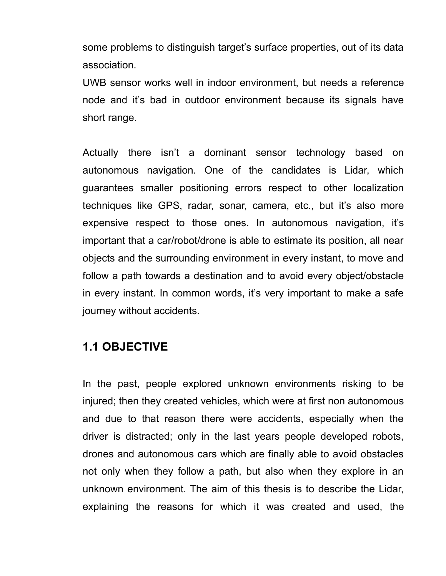some problems to distinguish target's surface properties, out of its data association.

UWB sensor works well in indoor environment, but needs a reference node and it's bad in outdoor environment because its signals have short range.

Actually there isn't a dominant sensor technology based on autonomous navigation. One of the candidates is Lidar, which guarantees smaller positioning errors respect to other localization techniques like GPS, radar, sonar, camera, etc., but it's also more expensive respect to those ones. In autonomous navigation, it's important that a car/robot/drone is able to estimate its position, all near objects and the surrounding environment in every instant, to move and follow a path towards a destination and to avoid every object/obstacle in every instant. In common words, it's very important to make a safe journey without accidents.

## **1.1 OBJECTIVE**

In the past, people explored unknown environments risking to be injured; then they created vehicles, which were at first non autonomous and due to that reason there were accidents, especially when the driver is distracted; only in the last years people developed robots, drones and autonomous cars which are finally able to avoid obstacles not only when they follow a path, but also when they explore in an unknown environment. The aim of this thesis is to describe the Lidar, explaining the reasons for which it was created and used, the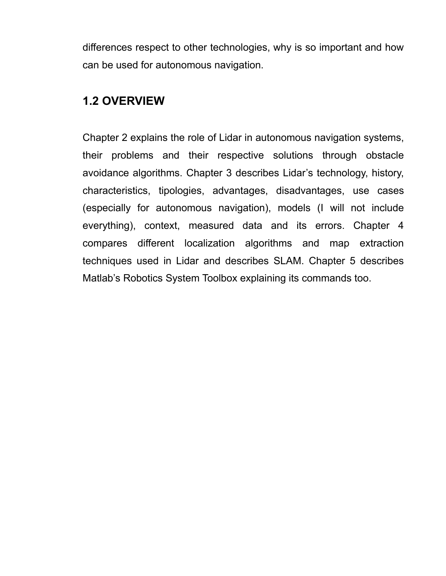differences respect to other technologies, why is so important and how can be used for autonomous navigation.

## **1.2 OVERVIEW**

Chapter 2 explains the role of Lidar in autonomous navigation systems, their problems and their respective solutions through obstacle avoidance algorithms. Chapter 3 describes Lidar's technology, history, characteristics, tipologies, advantages, disadvantages, use cases (especially for autonomous navigation), models (I will not include everything), context, measured data and its errors. Chapter 4 compares different localization algorithms and map extraction techniques used in Lidar and describes SLAM. Chapter 5 describes Matlab's Robotics System Toolbox explaining its commands too.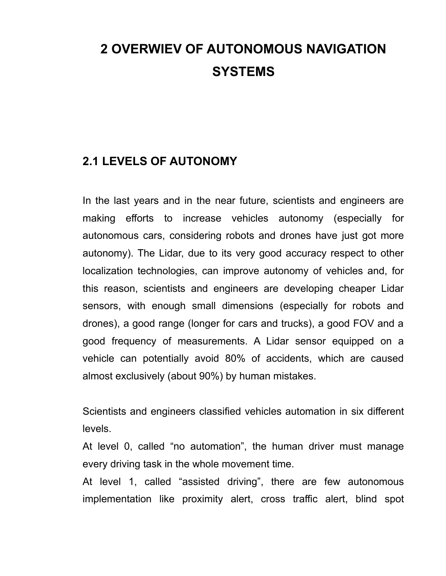# **2 OVERWIEV OF AUTONOMOUS NAVIGATION SYSTEMS**

## **2.1 LEVELS OF AUTONOMY**

In the last years and in the near future, scientists and engineers are making efforts to increase vehicles autonomy (especially for autonomous cars, considering robots and drones have just got more autonomy). The Lidar, due to its very good accuracy respect to other localization technologies, can improve autonomy of vehicles and, for this reason, scientists and engineers are developing cheaper Lidar sensors, with enough small dimensions (especially for robots and drones), a good range (longer for cars and trucks), a good FOV and a good frequency of measurements. A Lidar sensor equipped on a vehicle can potentially avoid 80% of accidents, which are caused almost exclusively (about 90%) by human mistakes.

Scientists and engineers classified vehicles automation in six different levels.

At level 0, called "no automation", the human driver must manage every driving task in the whole movement time.

At level 1, called "assisted driving", there are few autonomous implementation like proximity alert, cross traffic alert, blind spot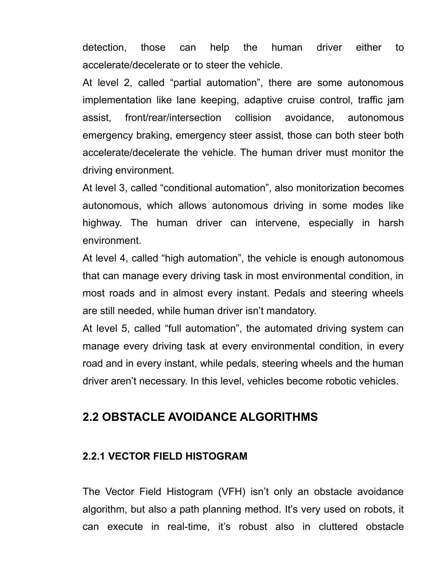detection, those can help the human driver either to accelerate/decelerate or to steer the vehicle.

At level 2, called "partial automation", there are some autonomous implementation like lane keeping, adaptive cruise control, traffic jam assist, front/rear/intersection collision avoidance, autonomous emergency braking, emergency steer assist, those can both steer both accelerate/decelerate the vehicle. The human driver must monitor the driving environment.

At level 3, called "conditional automation", also monitorization becomes autonomous, which allows autonomous driving in some modes like highway. The human driver can intervene, especially in harsh environment.

At level 4, called "high automation", the vehicle is enough autonomous that can manage every driving task in most environmental condition, in most roads and in almost every instant. Pedals and steering wheels are still needed, while human driver isn't mandatory.

At level 5, called "full automation", the automated driving system can manage every driving task at every environmental condition, in every road and in every instant, while pedals, steering wheels and the human driver aren't necessary. In this level, vehicles become robotic vehicles.

## **2.2 OBSTACLE AVOIDANCE ALGORITHMS**

#### **2.2.1 VECTOR FIELD HISTOGRAM**

The Vector Field Histogram (VFH) isn't only an obstacle avoidance algorithm, but also a path planning method. It's very used on robots, it can execute in real-time, it's robust also in cluttered obstacle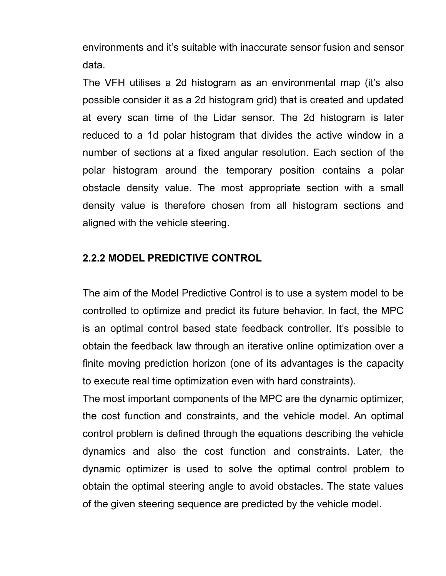environments and it's suitable with inaccurate sensor fusion and sensor data.

The VFH utilises a 2d histogram as an environmental map (it's also possible consider it as a 2d histogram grid) that is created and updated at every scan time of the Lidar sensor. The 2d histogram is later reduced to a 1d polar histogram that divides the active window in a number of sections at a fixed angular resolution. Each section of the polar histogram around the temporary position contains a polar obstacle density value. The most appropriate section with a small density value is therefore chosen from all histogram sections and aligned with the vehicle steering.

#### **2.2.2 MODEL PREDICTIVE CONTROL**

The aim of the Model Predictive Control is to use a system model to be controlled to optimize and predict its future behavior. In fact, the MPC is an optimal control based state feedback controller. It's possible to obtain the feedback law through an iterative online optimization over a finite moving prediction horizon (one of its advantages is the capacity to execute real time optimization even with hard constraints).

The most important components of the MPC are the dynamic optimizer, the cost function and constraints, and the vehicle model. An optimal control problem is defined through the equations describing the vehicle dynamics and also the cost function and constraints. Later, the dynamic optimizer is used to solve the optimal control problem to obtain the optimal steering angle to avoid obstacles. The state values of the given steering sequence are predicted by the vehicle model.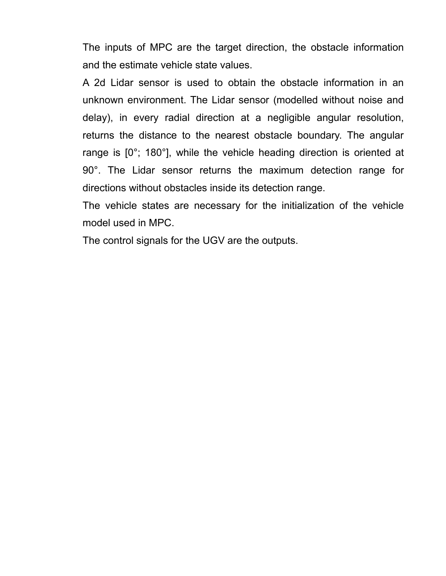The inputs of MPC are the target direction, the obstacle information and the estimate vehicle state values.

A 2d Lidar sensor is used to obtain the obstacle information in an unknown environment. The Lidar sensor (modelled without noise and delay), in every radial direction at a negligible angular resolution, returns the distance to the nearest obstacle boundary. The angular range is [0°; 180°], while the vehicle heading direction is oriented at 90°. The Lidar sensor returns the maximum detection range for directions without obstacles inside its detection range.

The vehicle states are necessary for the initialization of the vehicle model used in MPC.

The control signals for the UGV are the outputs.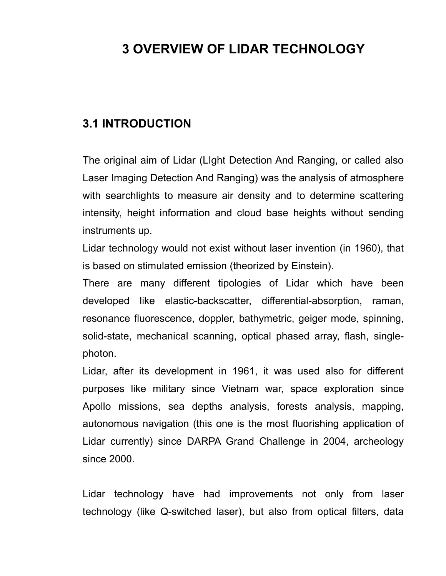# **3 OVERVIEW OF LIDAR TECHNOLOGY**

## **3.1 INTRODUCTION**

The original aim of Lidar (LIght Detection And Ranging, or called also Laser Imaging Detection And Ranging) was the analysis of atmosphere with searchlights to measure air density and to determine scattering intensity, height information and cloud base heights without sending instruments up.

Lidar technology would not exist without laser invention (in 1960), that is based on stimulated emission (theorized by Einstein).

There are many different tipologies of Lidar which have been developed like elastic-backscatter, differential-absorption, raman, resonance fluorescence, doppler, bathymetric, geiger mode, spinning, solid-state, mechanical scanning, optical phased array, flash, singlephoton.

Lidar, after its development in 1961, it was used also for different purposes like military since Vietnam war, space exploration since Apollo missions, sea depths analysis, forests analysis, mapping, autonomous navigation (this one is the most fluorishing application of Lidar currently) since DARPA Grand Challenge in 2004, archeology since 2000.

Lidar technology have had improvements not only from laser technology (like Q-switched laser), but also from optical filters, data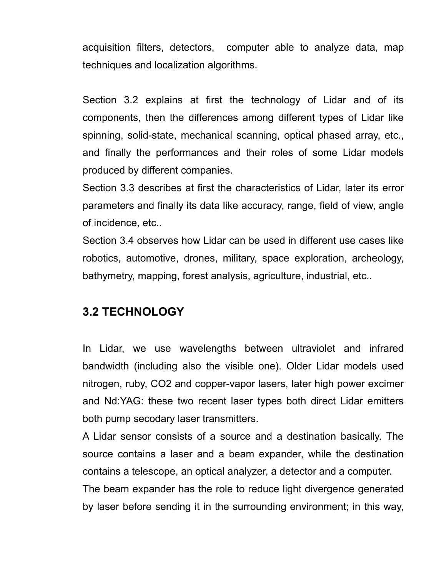acquisition filters, detectors, computer able to analyze data, map techniques and localization algorithms.

Section 3.2 explains at first the technology of Lidar and of its components, then the differences among different types of Lidar like spinning, solid-state, mechanical scanning, optical phased array, etc., and finally the performances and their roles of some Lidar models produced by different companies.

Section 3.3 describes at first the characteristics of Lidar, later its error parameters and finally its data like accuracy, range, field of view, angle of incidence, etc..

Section 3.4 observes how Lidar can be used in different use cases like robotics, automotive, drones, military, space exploration, archeology, bathymetry, mapping, forest analysis, agriculture, industrial, etc..

## **3.2 TECHNOLOGY**

In Lidar, we use wavelengths between ultraviolet and infrared bandwidth (including also the visible one). Older Lidar models used nitrogen, ruby, CO2 and copper-vapor lasers, later high power excimer and Nd:YAG: these two recent laser types both direct Lidar emitters both pump secodary laser transmitters.

A Lidar sensor consists of a source and a destination basically. The source contains a laser and a beam expander, while the destination contains a telescope, an optical analyzer, a detector and a computer.

The beam expander has the role to reduce light divergence generated by laser before sending it in the surrounding environment; in this way,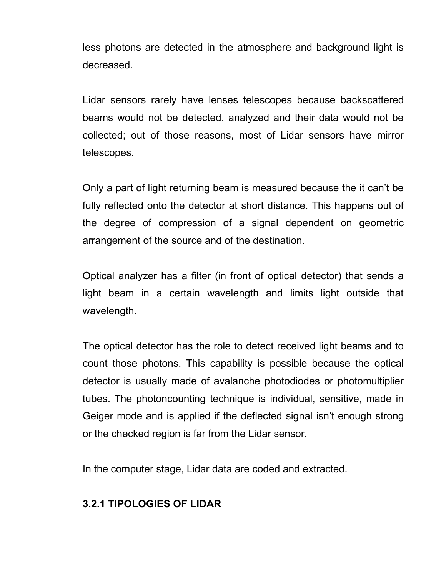less photons are detected in the atmosphere and background light is decreased.

Lidar sensors rarely have lenses telescopes because backscattered beams would not be detected, analyzed and their data would not be collected; out of those reasons, most of Lidar sensors have mirror telescopes.

Only a part of light returning beam is measured because the it can't be fully reflected onto the detector at short distance. This happens out of the degree of compression of a signal dependent on geometric arrangement of the source and of the destination.

Optical analyzer has a filter (in front of optical detector) that sends a light beam in a certain wavelength and limits light outside that wavelength.

The optical detector has the role to detect received light beams and to count those photons. This capability is possible because the optical detector is usually made of avalanche photodiodes or photomultiplier tubes. The photoncounting technique is individual, sensitive, made in Geiger mode and is applied if the deflected signal isn't enough strong or the checked region is far from the Lidar sensor.

In the computer stage, Lidar data are coded and extracted.

## **3.2.1 TIPOLOGIES OF LIDAR**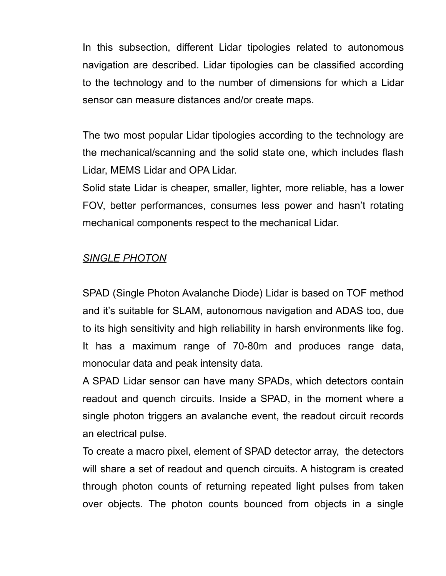In this subsection, different Lidar tipologies related to autonomous navigation are described. Lidar tipologies can be classified according to the technology and to the number of dimensions for which a Lidar sensor can measure distances and/or create maps.

The two most popular Lidar tipologies according to the technology are the mechanical/scanning and the solid state one, which includes flash Lidar, MEMS Lidar and OPA Lidar.

Solid state Lidar is cheaper, smaller, lighter, more reliable, has a lower FOV, better performances, consumes less power and hasn't rotating mechanical components respect to the mechanical Lidar.

## *SINGLE PHOTON*

SPAD (Single Photon Avalanche Diode) Lidar is based on TOF method and it's suitable for SLAM, autonomous navigation and ADAS too, due to its high sensitivity and high reliability in harsh environments like fog. It has a maximum range of 70-80m and produces range data, monocular data and peak intensity data.

A SPAD Lidar sensor can have many SPADs, which detectors contain readout and quench circuits. Inside a SPAD, in the moment where a single photon triggers an avalanche event, the readout circuit records an electrical pulse.

To create a macro pixel, element of SPAD detector array, the detectors will share a set of readout and quench circuits. A histogram is created through photon counts of returning repeated light pulses from taken over objects. The photon counts bounced from objects in a single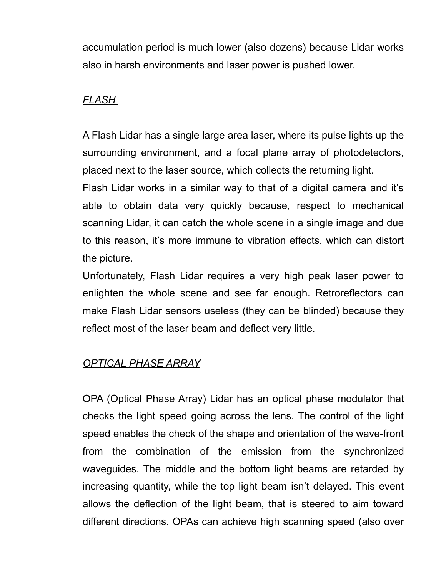accumulation period is much lower (also dozens) because Lidar works also in harsh environments and laser power is pushed lower.

## *FLASH*

A Flash Lidar has a single large area laser, where its pulse lights up the surrounding environment, and a focal plane array of photodetectors, placed next to the laser source, which collects the returning light.

Flash Lidar works in a similar way to that of a digital camera and it's able to obtain data very quickly because, respect to mechanical scanning Lidar, it can catch the whole scene in a single image and due to this reason, it's more immune to vibration effects, which can distort the picture.

Unfortunately, Flash Lidar requires a very high peak laser power to enlighten the whole scene and see far enough. Retroreflectors can make Flash Lidar sensors useless (they can be blinded) because they reflect most of the laser beam and deflect very little.

## *OPTICAL PHASE ARRAY*

OPA (Optical Phase Array) Lidar has an optical phase modulator that checks the light speed going across the lens. The control of the light speed enables the check of the shape and orientation of the wave-front from the combination of the emission from the synchronized waveguides. The middle and the bottom light beams are retarded by increasing quantity, while the top light beam isn't delayed. This event allows the deflection of the light beam, that is steered to aim toward different directions. OPAs can achieve high scanning speed (also over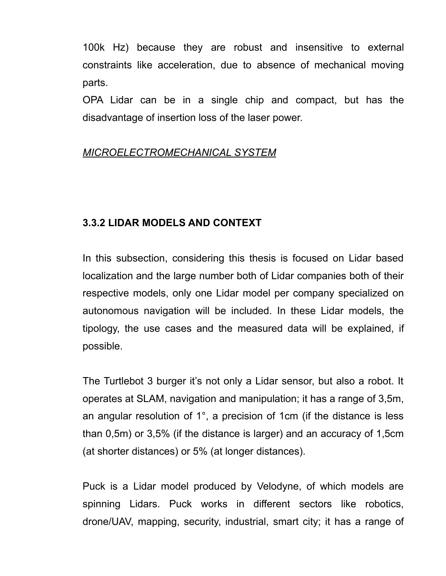100k Hz) because they are robust and insensitive to external constraints like acceleration, due to absence of mechanical moving parts.

OPA Lidar can be in a single chip and compact, but has the disadvantage of insertion loss of the laser power.

## *MICROELECTROMECHANICAL SYSTEM*

## **3.3.2 LIDAR MODELS AND CONTEXT**

In this subsection, considering this thesis is focused on Lidar based localization and the large number both of Lidar companies both of their respective models, only one Lidar model per company specialized on autonomous navigation will be included. In these Lidar models, the tipology, the use cases and the measured data will be explained, if possible.

The Turtlebot 3 burger it's not only a Lidar sensor, but also a robot. It operates at SLAM, navigation and manipulation; it has a range of 3,5m, an angular resolution of 1°, a precision of 1cm (if the distance is less than 0,5m) or 3,5% (if the distance is larger) and an accuracy of 1,5cm (at shorter distances) or 5% (at longer distances).

Puck is a Lidar model produced by Velodyne, of which models are spinning Lidars. Puck works in different sectors like robotics, drone/UAV, mapping, security, industrial, smart city; it has a range of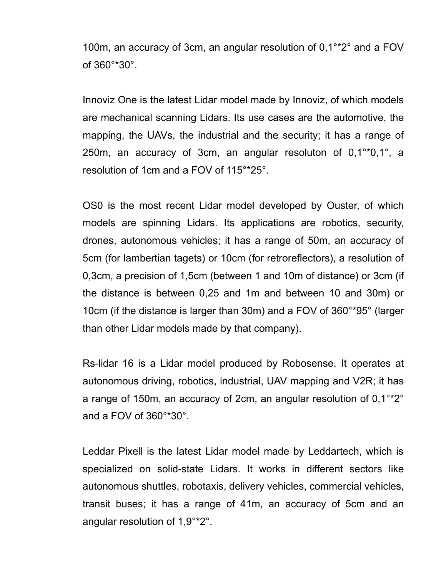100m, an accuracy of 3cm, an angular resolution of 0,1°\*2° and a FOV of 360°\*30°.

Innoviz One is the latest Lidar model made by Innoviz, of which models are mechanical scanning Lidars. Its use cases are the automotive, the mapping, the UAVs, the industrial and the security; it has a range of 250m, an accuracy of 3cm, an angular resoluton of 0,1°\*0,1°, a resolution of 1cm and a FOV of 115°\*25°.

OS0 is the most recent Lidar model developed by Ouster, of which models are spinning Lidars. Its applications are robotics, security, drones, autonomous vehicles; it has a range of 50m, an accuracy of 5cm (for lambertian tagets) or 10cm (for retroreflectors), a resolution of 0,3cm, a precision of 1,5cm (between 1 and 10m of distance) or 3cm (if the distance is between 0,25 and 1m and between 10 and 30m) or 10cm (if the distance is larger than 30m) and a FOV of 360°\*95° (larger than other Lidar models made by that company).

Rs-lidar 16 is a Lidar model produced by Robosense. It operates at autonomous driving, robotics, industrial, UAV mapping and V2R; it has a range of 150m, an accuracy of 2cm, an angular resolution of 0,1°\*2° and a FOV of 360°\*30°.

Leddar Pixell is the latest Lidar model made by Leddartech, which is specialized on solid-state Lidars. It works in different sectors like autonomous shuttles, robotaxis, delivery vehicles, commercial vehicles, transit buses; it has a range of 41m, an accuracy of 5cm and an angular resolution of 1,9°\*2°.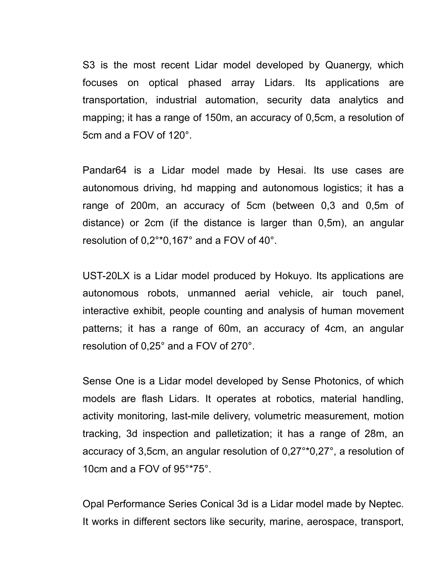S3 is the most recent Lidar model developed by Quanergy, which focuses on optical phased array Lidars. Its applications are transportation, industrial automation, security data analytics and mapping; it has a range of 150m, an accuracy of 0,5cm, a resolution of 5cm and a FOV of 120°.

Pandar64 is a Lidar model made by Hesai. Its use cases are autonomous driving, hd mapping and autonomous logistics; it has a range of 200m, an accuracy of 5cm (between 0,3 and 0,5m of distance) or 2cm (if the distance is larger than 0,5m), an angular resolution of 0,2°\*0,167° and a FOV of 40°.

UST-20LX is a Lidar model produced by Hokuyo. Its applications are autonomous robots, unmanned aerial vehicle, air touch panel, interactive exhibit, people counting and analysis of human movement patterns; it has a range of 60m, an accuracy of 4cm, an angular resolution of 0,25° and a FOV of 270°.

Sense One is a Lidar model developed by Sense Photonics, of which models are flash Lidars. It operates at robotics, material handling, activity monitoring, last-mile delivery, volumetric measurement, motion tracking, 3d inspection and palletization; it has a range of 28m, an accuracy of 3,5cm, an angular resolution of 0,27°\*0,27°, a resolution of 10cm and a FOV of 95°\*75°.

Opal Performance Series Conical 3d is a Lidar model made by Neptec. It works in different sectors like security, marine, aerospace, transport,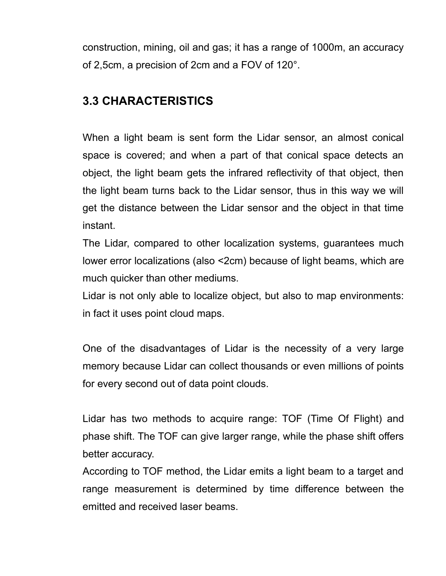construction, mining, oil and gas; it has a range of 1000m, an accuracy of 2,5cm, a precision of 2cm and a FOV of 120°.

## **3.3 CHARACTERISTICS**

When a light beam is sent form the Lidar sensor, an almost conical space is covered; and when a part of that conical space detects an object, the light beam gets the infrared reflectivity of that object, then the light beam turns back to the Lidar sensor, thus in this way we will get the distance between the Lidar sensor and the object in that time instant.

The Lidar, compared to other localization systems, guarantees much lower error localizations (also <2cm) because of light beams, which are much quicker than other mediums.

Lidar is not only able to localize object, but also to map environments: in fact it uses point cloud maps.

One of the disadvantages of Lidar is the necessity of a very large memory because Lidar can collect thousands or even millions of points for every second out of data point clouds.

Lidar has two methods to acquire range: TOF (Time Of Flight) and phase shift. The TOF can give larger range, while the phase shift offers better accuracy.

According to TOF method, the Lidar emits a light beam to a target and range measurement is determined by time difference between the emitted and received laser beams.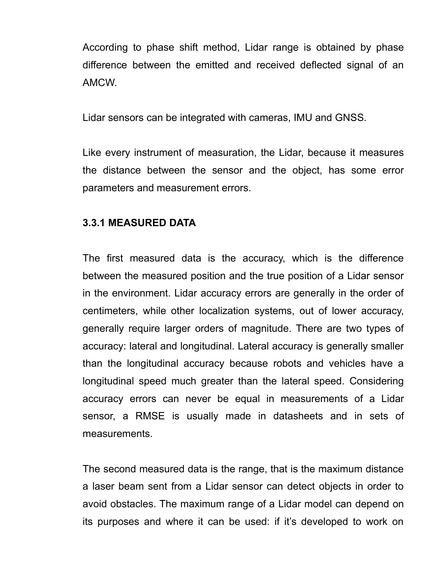According to phase shift method, Lidar range is obtained by phase difference between the emitted and received deflected signal of an AMCW.

Lidar sensors can be integrated with cameras, IMU and GNSS.

Like every instrument of measuration, the Lidar, because it measures the distance between the sensor and the object, has some error parameters and measurement errors.

## **3.3.1 MEASURED DATA**

The first measured data is the accuracy, which is the difference between the measured position and the true position of a Lidar sensor in the environment. Lidar accuracy errors are generally in the order of centimeters, while other localization systems, out of lower accuracy, generally require larger orders of magnitude. There are two types of accuracy: lateral and longitudinal. Lateral accuracy is generally smaller than the longitudinal accuracy because robots and vehicles have a longitudinal speed much greater than the lateral speed. Considering accuracy errors can never be equal in measurements of a Lidar sensor, a RMSE is usually made in datasheets and in sets of measurements.

The second measured data is the range, that is the maximum distance a laser beam sent from a Lidar sensor can detect objects in order to avoid obstacles. The maximum range of a Lidar model can depend on its purposes and where it can be used: if it's developed to work on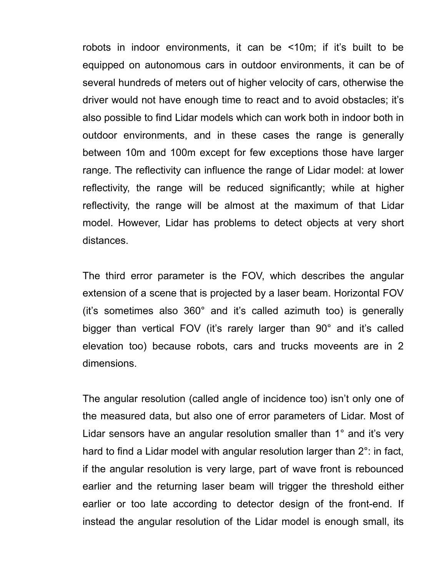robots in indoor environments, it can be <10m; if it's built to be equipped on autonomous cars in outdoor environments, it can be of several hundreds of meters out of higher velocity of cars, otherwise the driver would not have enough time to react and to avoid obstacles; it's also possible to find Lidar models which can work both in indoor both in outdoor environments, and in these cases the range is generally between 10m and 100m except for few exceptions those have larger range. The reflectivity can influence the range of Lidar model: at lower reflectivity, the range will be reduced significantly; while at higher reflectivity, the range will be almost at the maximum of that Lidar model. However, Lidar has problems to detect objects at very short distances.

The third error parameter is the FOV, which describes the angular extension of a scene that is projected by a laser beam. Horizontal FOV (it's sometimes also 360° and it's called azimuth too) is generally bigger than vertical FOV (it's rarely larger than 90° and it's called elevation too) because robots, cars and trucks moveents are in 2 dimensions.

The angular resolution (called angle of incidence too) isn't only one of the measured data, but also one of error parameters of Lidar. Most of Lidar sensors have an angular resolution smaller than 1° and it's very hard to find a Lidar model with angular resolution larger than 2°: in fact, if the angular resolution is very large, part of wave front is rebounced earlier and the returning laser beam will trigger the threshold either earlier or too late according to detector design of the front-end. If instead the angular resolution of the Lidar model is enough small, its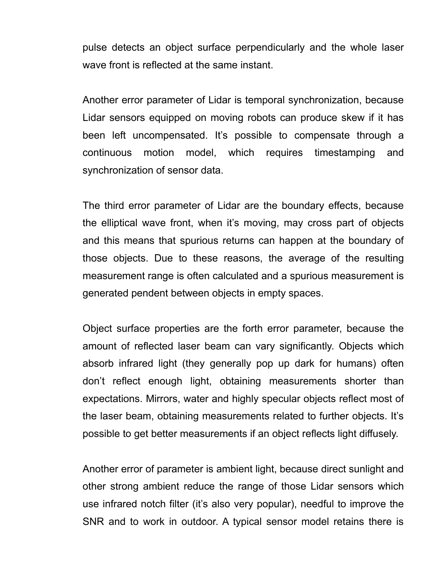pulse detects an object surface perpendicularly and the whole laser wave front is reflected at the same instant.

Another error parameter of Lidar is temporal synchronization, because Lidar sensors equipped on moving robots can produce skew if it has been left uncompensated. It's possible to compensate through a continuous motion model, which requires timestamping and synchronization of sensor data.

The third error parameter of Lidar are the boundary effects, because the elliptical wave front, when it's moving, may cross part of objects and this means that spurious returns can happen at the boundary of those objects. Due to these reasons, the average of the resulting measurement range is often calculated and a spurious measurement is generated pendent between objects in empty spaces.

Object surface properties are the forth error parameter, because the amount of reflected laser beam can vary significantly. Objects which absorb infrared light (they generally pop up dark for humans) often don't reflect enough light, obtaining measurements shorter than expectations. Mirrors, water and highly specular objects reflect most of the laser beam, obtaining measurements related to further objects. It's possible to get better measurements if an object reflects light diffusely.

Another error of parameter is ambient light, because direct sunlight and other strong ambient reduce the range of those Lidar sensors which use infrared notch filter (it's also very popular), needful to improve the SNR and to work in outdoor. A typical sensor model retains there is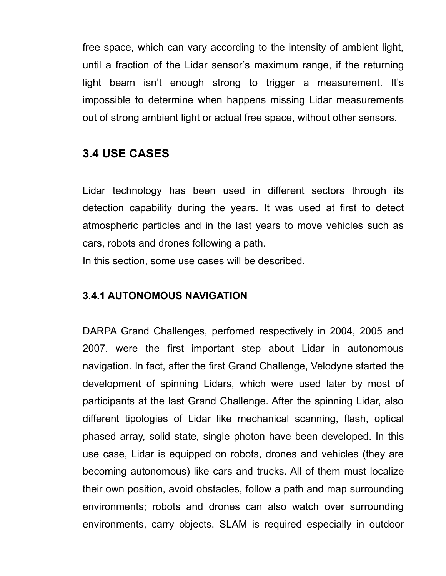free space, which can vary according to the intensity of ambient light, until a fraction of the Lidar sensor's maximum range, if the returning light beam isn't enough strong to trigger a measurement. It's impossible to determine when happens missing Lidar measurements out of strong ambient light or actual free space, without other sensors.

## **3.4 USE CASES**

Lidar technology has been used in different sectors through its detection capability during the years. It was used at first to detect atmospheric particles and in the last years to move vehicles such as cars, robots and drones following a path.

In this section, some use cases will be described.

#### **3.4.1 AUTONOMOUS NAVIGATION**

DARPA Grand Challenges, perfomed respectively in 2004, 2005 and 2007, were the first important step about Lidar in autonomous navigation. In fact, after the first Grand Challenge, Velodyne started the development of spinning Lidars, which were used later by most of participants at the last Grand Challenge. After the spinning Lidar, also different tipologies of Lidar like mechanical scanning, flash, optical phased array, solid state, single photon have been developed. In this use case, Lidar is equipped on robots, drones and vehicles (they are becoming autonomous) like cars and trucks. All of them must localize their own position, avoid obstacles, follow a path and map surrounding environments; robots and drones can also watch over surrounding environments, carry objects. SLAM is required especially in outdoor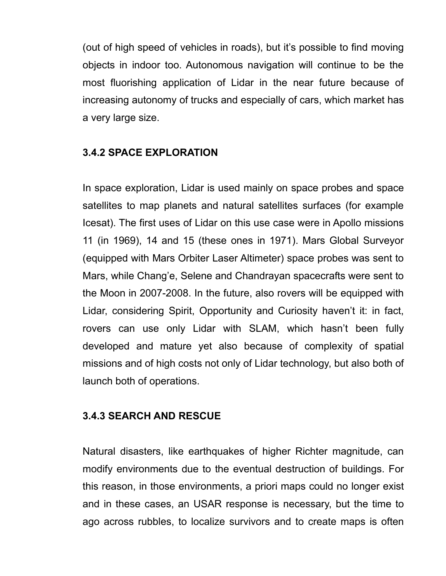(out of high speed of vehicles in roads), but it's possible to find moving objects in indoor too. Autonomous navigation will continue to be the most fluorishing application of Lidar in the near future because of increasing autonomy of trucks and especially of cars, which market has a very large size.

#### **3.4.2 SPACE EXPLORATION**

In space exploration, Lidar is used mainly on space probes and space satellites to map planets and natural satellites surfaces (for example Icesat). The first uses of Lidar on this use case were in Apollo missions 11 (in 1969), 14 and 15 (these ones in 1971). Mars Global Surveyor (equipped with Mars Orbiter Laser Altimeter) space probes was sent to Mars, while Chang'e, Selene and Chandrayan spacecrafts were sent to the Moon in 2007-2008. In the future, also rovers will be equipped with Lidar, considering Spirit, Opportunity and Curiosity haven't it: in fact, rovers can use only Lidar with SLAM, which hasn't been fully developed and mature yet also because of complexity of spatial missions and of high costs not only of Lidar technology, but also both of launch both of operations.

#### **3.4.3 SEARCH AND RESCUE**

Natural disasters, like earthquakes of higher Richter magnitude, can modify environments due to the eventual destruction of buildings. For this reason, in those environments, a priori maps could no longer exist and in these cases, an USAR response is necessary, but the time to ago across rubbles, to localize survivors and to create maps is often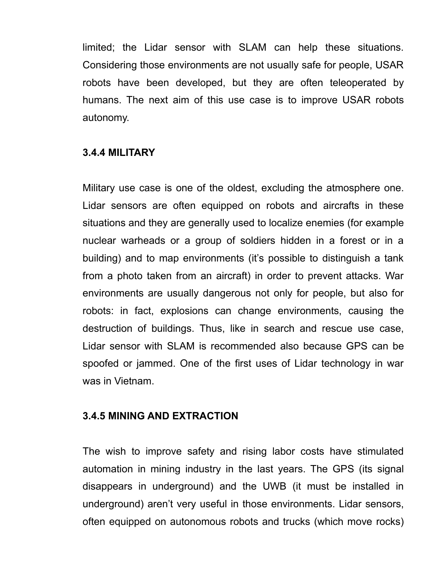limited; the Lidar sensor with SLAM can help these situations. Considering those environments are not usually safe for people, USAR robots have been developed, but they are often teleoperated by humans. The next aim of this use case is to improve USAR robots autonomy.

#### **3.4.4 MILITARY**

Military use case is one of the oldest, excluding the atmosphere one. Lidar sensors are often equipped on robots and aircrafts in these situations and they are generally used to localize enemies (for example nuclear warheads or a group of soldiers hidden in a forest or in a building) and to map environments (it's possible to distinguish a tank from a photo taken from an aircraft) in order to prevent attacks. War environments are usually dangerous not only for people, but also for robots: in fact, explosions can change environments, causing the destruction of buildings. Thus, like in search and rescue use case, Lidar sensor with SLAM is recommended also because GPS can be spoofed or jammed. One of the first uses of Lidar technology in war was in Vietnam.

#### **3.4.5 MINING AND EXTRACTION**

The wish to improve safety and rising labor costs have stimulated automation in mining industry in the last years. The GPS (its signal disappears in underground) and the UWB (it must be installed in underground) aren't very useful in those environments. Lidar sensors, often equipped on autonomous robots and trucks (which move rocks)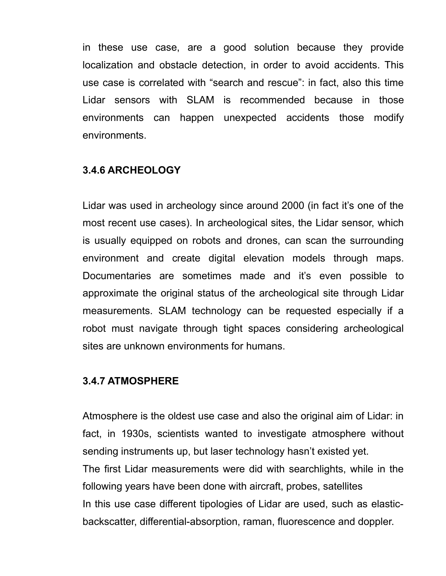in these use case, are a good solution because they provide localization and obstacle detection, in order to avoid accidents. This use case is correlated with "search and rescue": in fact, also this time Lidar sensors with SLAM is recommended because in those environments can happen unexpected accidents those modify environments.

#### **3.4.6 ARCHEOLOGY**

Lidar was used in archeology since around 2000 (in fact it's one of the most recent use cases). In archeological sites, the Lidar sensor, which is usually equipped on robots and drones, can scan the surrounding environment and create digital elevation models through maps. Documentaries are sometimes made and it's even possible to approximate the original status of the archeological site through Lidar measurements. SLAM technology can be requested especially if a robot must navigate through tight spaces considering archeological sites are unknown environments for humans.

#### **3.4.7 ATMOSPHERE**

Atmosphere is the oldest use case and also the original aim of Lidar: in fact, in 1930s, scientists wanted to investigate atmosphere without sending instruments up, but laser technology hasn't existed yet. The first Lidar measurements were did with searchlights, while in the following years have been done with aircraft, probes, satellites In this use case different tipologies of Lidar are used, such as elasticbackscatter, differential-absorption, raman, fluorescence and doppler.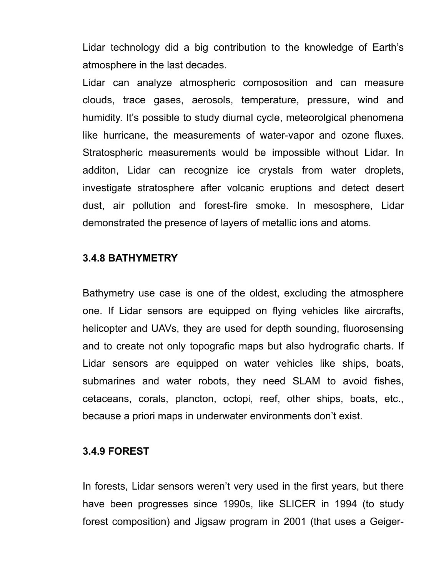Lidar technology did a big contribution to the knowledge of Earth's atmosphere in the last decades.

Lidar can analyze atmospheric compososition and can measure clouds, trace gases, aerosols, temperature, pressure, wind and humidity. It's possible to study diurnal cycle, meteorolgical phenomena like hurricane, the measurements of water-vapor and ozone fluxes. Stratospheric measurements would be impossible without Lidar. In additon, Lidar can recognize ice crystals from water droplets, investigate stratosphere after volcanic eruptions and detect desert dust, air pollution and forest-fire smoke. In mesosphere, Lidar demonstrated the presence of layers of metallic ions and atoms.

#### **3.4.8 BATHYMETRY**

Bathymetry use case is one of the oldest, excluding the atmosphere one. If Lidar sensors are equipped on flying vehicles like aircrafts, helicopter and UAVs, they are used for depth sounding, fluorosensing and to create not only topografic maps but also hydrografic charts. If Lidar sensors are equipped on water vehicles like ships, boats, submarines and water robots, they need SLAM to avoid fishes, cetaceans, corals, plancton, octopi, reef, other ships, boats, etc., because a priori maps in underwater environments don't exist.

#### **3.4.9 FOREST**

In forests, Lidar sensors weren't very used in the first years, but there have been progresses since 1990s, like SLICER in 1994 (to study forest composition) and Jigsaw program in 2001 (that uses a Geiger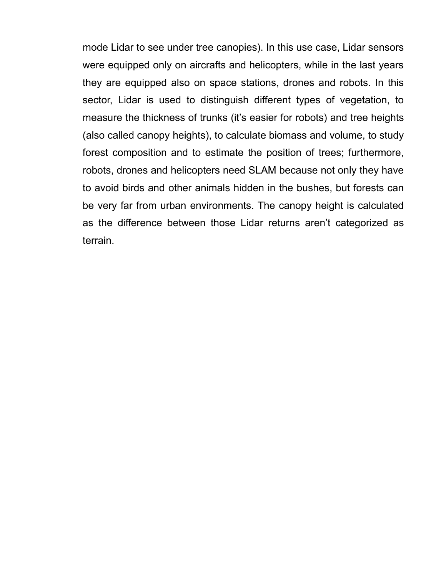mode Lidar to see under tree canopies). In this use case, Lidar sensors were equipped only on aircrafts and helicopters, while in the last years they are equipped also on space stations, drones and robots. In this sector, Lidar is used to distinguish different types of vegetation, to measure the thickness of trunks (it's easier for robots) and tree heights (also called canopy heights), to calculate biomass and volume, to study forest composition and to estimate the position of trees; furthermore, robots, drones and helicopters need SLAM because not only they have to avoid birds and other animals hidden in the bushes, but forests can be very far from urban environments. The canopy height is calculated as the difference between those Lidar returns aren't categorized as terrain.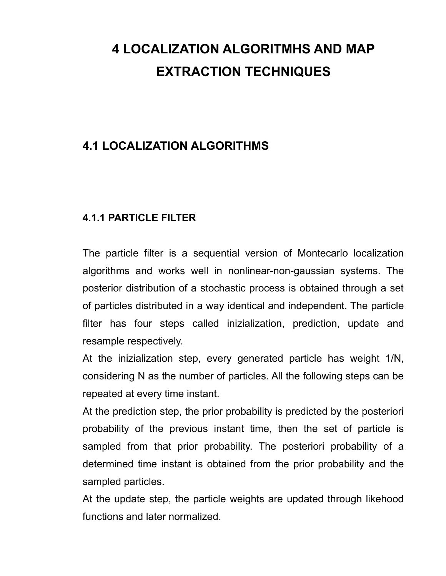# **4 LOCALIZATION ALGORITMHS AND MAP EXTRACTION TECHNIQUES**

## **4.1 LOCALIZATION ALGORITHMS**

## **4.1.1 PARTICLE FILTER**

The particle filter is a sequential version of Montecarlo localization algorithms and works well in nonlinear-non-gaussian systems. The posterior distribution of a stochastic process is obtained through a set of particles distributed in a way identical and independent. The particle filter has four steps called inizialization, prediction, update and resample respectively.

At the inizialization step, every generated particle has weight 1/N, considering N as the number of particles. All the following steps can be repeated at every time instant.

At the prediction step, the prior probability is predicted by the posteriori probability of the previous instant time, then the set of particle is sampled from that prior probability. The posteriori probability of a determined time instant is obtained from the prior probability and the sampled particles.

At the update step, the particle weights are updated through likehood functions and later normalized.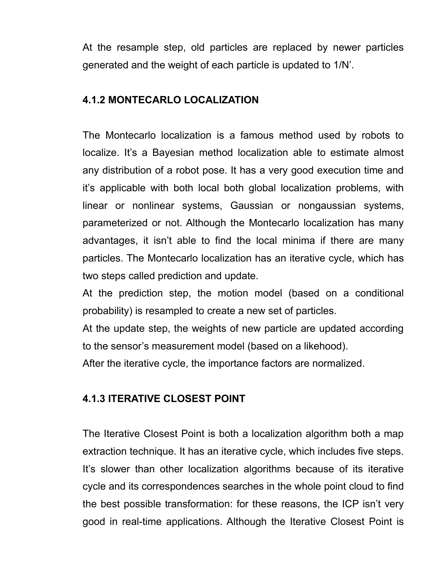At the resample step, old particles are replaced by newer particles generated and the weight of each particle is updated to 1/N'.

## **4.1.2 MONTECARLO LOCALIZATION**

The Montecarlo localization is a famous method used by robots to localize. It's a Bayesian method localization able to estimate almost any distribution of a robot pose. It has a very good execution time and it's applicable with both local both global localization problems, with linear or nonlinear systems, Gaussian or nongaussian systems, parameterized or not. Although the Montecarlo localization has many advantages, it isn't able to find the local minima if there are many particles. The Montecarlo localization has an iterative cycle, which has two steps called prediction and update.

At the prediction step, the motion model (based on a conditional probability) is resampled to create a new set of particles.

At the update step, the weights of new particle are updated according to the sensor's measurement model (based on a likehood).

After the iterative cycle, the importance factors are normalized.

## **4.1.3 ITERATIVE CLOSEST POINT**

The Iterative Closest Point is both a localization algorithm both a map extraction technique. It has an iterative cycle, which includes five steps. It's slower than other localization algorithms because of its iterative cycle and its correspondences searches in the whole point cloud to find the best possible transformation: for these reasons, the ICP isn't very good in real-time applications. Although the Iterative Closest Point is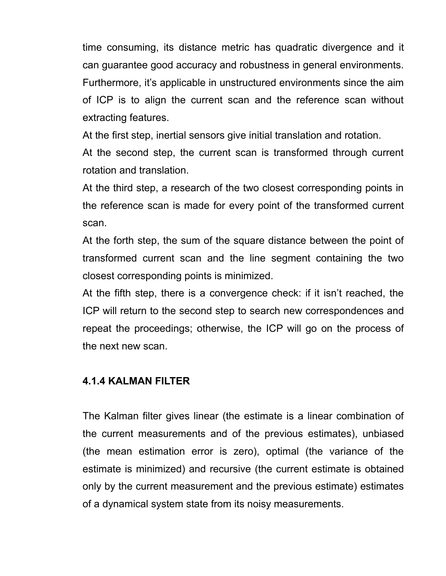time consuming, its distance metric has quadratic divergence and it can guarantee good accuracy and robustness in general environments. Furthermore, it's applicable in unstructured environments since the aim of ICP is to align the current scan and the reference scan without extracting features.

At the first step, inertial sensors give initial translation and rotation.

At the second step, the current scan is transformed through current rotation and translation.

At the third step, a research of the two closest corresponding points in the reference scan is made for every point of the transformed current scan.

At the forth step, the sum of the square distance between the point of transformed current scan and the line segment containing the two closest corresponding points is minimized.

At the fifth step, there is a convergence check: if it isn't reached, the ICP will return to the second step to search new correspondences and repeat the proceedings; otherwise, the ICP will go on the process of the next new scan.

## **4.1.4 KALMAN FILTER**

The Kalman filter gives linear (the estimate is a linear combination of the current measurements and of the previous estimates), unbiased (the mean estimation error is zero), optimal (the variance of the estimate is minimized) and recursive (the current estimate is obtained only by the current measurement and the previous estimate) estimates of a dynamical system state from its noisy measurements.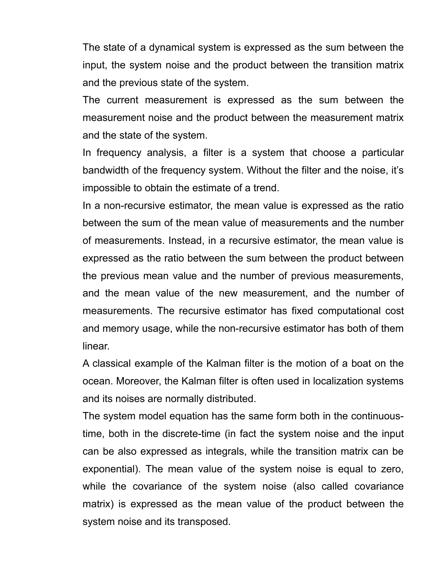The state of a dynamical system is expressed as the sum between the input, the system noise and the product between the transition matrix and the previous state of the system.

The current measurement is expressed as the sum between the measurement noise and the product between the measurement matrix and the state of the system.

In frequency analysis, a filter is a system that choose a particular bandwidth of the frequency system. Without the filter and the noise, it's impossible to obtain the estimate of a trend.

In a non-recursive estimator, the mean value is expressed as the ratio between the sum of the mean value of measurements and the number of measurements. Instead, in a recursive estimator, the mean value is expressed as the ratio between the sum between the product between the previous mean value and the number of previous measurements, and the mean value of the new measurement, and the number of measurements. The recursive estimator has fixed computational cost and memory usage, while the non-recursive estimator has both of them linear.

A classical example of the Kalman filter is the motion of a boat on the ocean. Moreover, the Kalman filter is often used in localization systems and its noises are normally distributed.

The system model equation has the same form both in the continuoustime, both in the discrete-time (in fact the system noise and the input can be also expressed as integrals, while the transition matrix can be exponential). The mean value of the system noise is equal to zero, while the covariance of the system noise (also called covariance matrix) is expressed as the mean value of the product between the system noise and its transposed.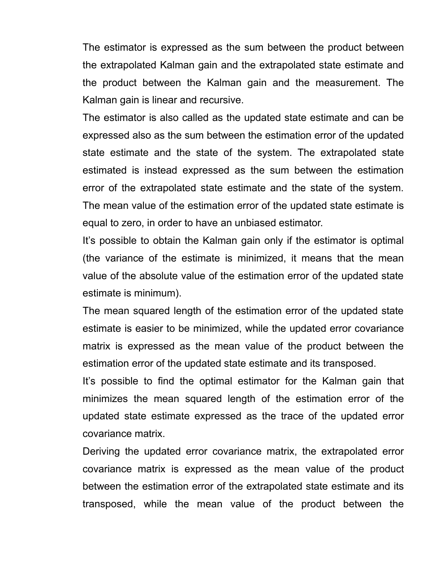The estimator is expressed as the sum between the product between the extrapolated Kalman gain and the extrapolated state estimate and the product between the Kalman gain and the measurement. The Kalman gain is linear and recursive.

The estimator is also called as the updated state estimate and can be expressed also as the sum between the estimation error of the updated state estimate and the state of the system. The extrapolated state estimated is instead expressed as the sum between the estimation error of the extrapolated state estimate and the state of the system. The mean value of the estimation error of the updated state estimate is equal to zero, in order to have an unbiased estimator.

It's possible to obtain the Kalman gain only if the estimator is optimal (the variance of the estimate is minimized, it means that the mean value of the absolute value of the estimation error of the updated state estimate is minimum).

The mean squared length of the estimation error of the updated state estimate is easier to be minimized, while the updated error covariance matrix is expressed as the mean value of the product between the estimation error of the updated state estimate and its transposed.

It's possible to find the optimal estimator for the Kalman gain that minimizes the mean squared length of the estimation error of the updated state estimate expressed as the trace of the updated error covariance matrix.

Deriving the updated error covariance matrix, the extrapolated error covariance matrix is expressed as the mean value of the product between the estimation error of the extrapolated state estimate and its transposed, while the mean value of the product between the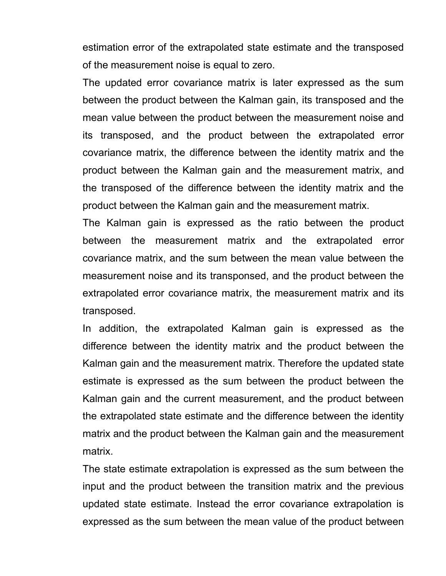estimation error of the extrapolated state estimate and the transposed of the measurement noise is equal to zero.

The updated error covariance matrix is later expressed as the sum between the product between the Kalman gain, its transposed and the mean value between the product between the measurement noise and its transposed, and the product between the extrapolated error covariance matrix, the difference between the identity matrix and the product between the Kalman gain and the measurement matrix, and the transposed of the difference between the identity matrix and the product between the Kalman gain and the measurement matrix.

The Kalman gain is expressed as the ratio between the product between the measurement matrix and the extrapolated error covariance matrix, and the sum between the mean value between the measurement noise and its transponsed, and the product between the extrapolated error covariance matrix, the measurement matrix and its transposed.

In addition, the extrapolated Kalman gain is expressed as the difference between the identity matrix and the product between the Kalman gain and the measurement matrix. Therefore the updated state estimate is expressed as the sum between the product between the Kalman gain and the current measurement, and the product between the extrapolated state estimate and the difference between the identity matrix and the product between the Kalman gain and the measurement matrix.

The state estimate extrapolation is expressed as the sum between the input and the product between the transition matrix and the previous updated state estimate. Instead the error covariance extrapolation is expressed as the sum between the mean value of the product between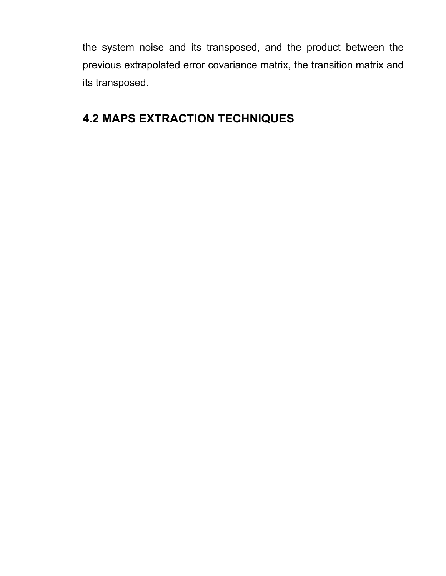the system noise and its transposed, and the product between the previous extrapolated error covariance matrix, the transition matrix and its transposed.

## **4.2 MAPS EXTRACTION TECHNIQUES**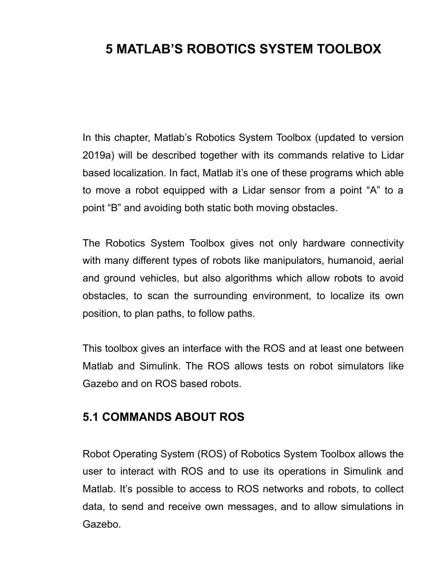# **5 MATLAB'S ROBOTICS SYSTEM TOOLBOX**

In this chapter, Matlab's Robotics System Toolbox (updated to version 2019a) will be described together with its commands relative to Lidar based localization. In fact, Matlab it's one of these programs which able to move a robot equipped with a Lidar sensor from a point "A" to a point "B" and avoiding both static both moving obstacles.

The Robotics System Toolbox gives not only hardware connectivity with many different types of robots like manipulators, humanoid, aerial and ground vehicles, but also algorithms which allow robots to avoid obstacles, to scan the surrounding environment, to localize its own position, to plan paths, to follow paths.

This toolbox gives an interface with the ROS and at least one between Matlab and Simulink. The ROS allows tests on robot simulators like Gazebo and on ROS based robots.

## **5.1 COMMANDS ABOUT ROS**

Robot Operating System (ROS) of Robotics System Toolbox allows the user to interact with ROS and to use its operations in Simulink and Matlab. It's possible to access to ROS networks and robots, to collect data, to send and receive own messages, and to allow simulations in Gazebo.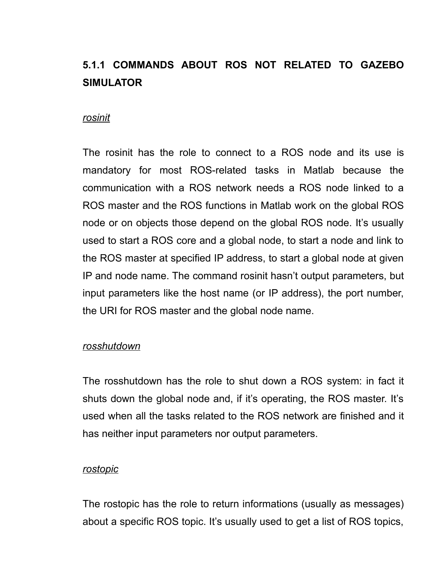# **5.1.1 COMMANDS ABOUT ROS NOT RELATED TO GAZEBO SIMULATOR**

#### *rosinit*

The rosinit has the role to connect to a ROS node and its use is mandatory for most ROS-related tasks in Matlab because the communication with a ROS network needs a ROS node linked to a ROS master and the ROS functions in Matlab work on the global ROS node or on objects those depend on the global ROS node. It's usually used to start a ROS core and a global node, to start a node and link to the ROS master at specified IP address, to start a global node at given IP and node name. The command rosinit hasn't output parameters, but input parameters like the host name (or IP address), the port number, the URI for ROS master and the global node name.

#### *rosshutdown*

The rosshutdown has the role to shut down a ROS system: in fact it shuts down the global node and, if it's operating, the ROS master. It's used when all the tasks related to the ROS network are finished and it has neither input parameters nor output parameters.

#### *rostopic*

The rostopic has the role to return informations (usually as messages) about a specific ROS topic. It's usually used to get a list of ROS topics,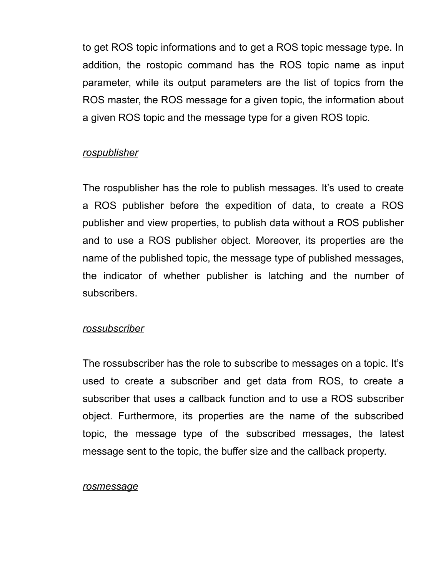to get ROS topic informations and to get a ROS topic message type. In addition, the rostopic command has the ROS topic name as input parameter, while its output parameters are the list of topics from the ROS master, the ROS message for a given topic, the information about a given ROS topic and the message type for a given ROS topic.

#### *rospublisher*

The rospublisher has the role to publish messages. It's used to create a ROS publisher before the expedition of data, to create a ROS publisher and view properties, to publish data without a ROS publisher and to use a ROS publisher object. Moreover, its properties are the name of the published topic, the message type of published messages, the indicator of whether publisher is latching and the number of subscribers.

#### *rossubscriber*

The rossubscriber has the role to subscribe to messages on a topic. It's used to create a subscriber and get data from ROS, to create a subscriber that uses a callback function and to use a ROS subscriber object. Furthermore, its properties are the name of the subscribed topic, the message type of the subscribed messages, the latest message sent to the topic, the buffer size and the callback property.

#### *rosmessage*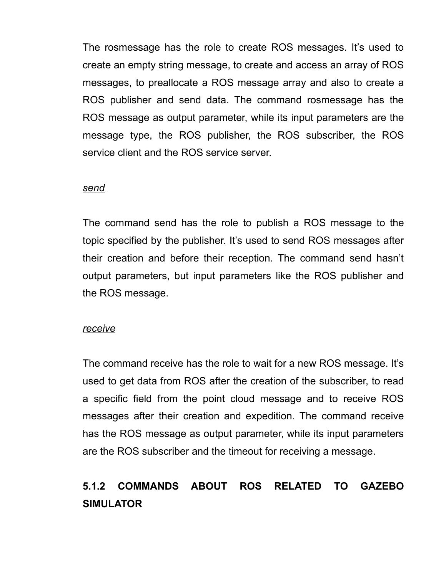The rosmessage has the role to create ROS messages. It's used to create an empty string message, to create and access an array of ROS messages, to preallocate a ROS message array and also to create a ROS publisher and send data. The command rosmessage has the ROS message as output parameter, while its input parameters are the message type, the ROS publisher, the ROS subscriber, the ROS service client and the ROS service server.

#### *send*

The command send has the role to publish a ROS message to the topic specified by the publisher. It's used to send ROS messages after their creation and before their reception. The command send hasn't output parameters, but input parameters like the ROS publisher and the ROS message.

#### *receive*

The command receive has the role to wait for a new ROS message. It's used to get data from ROS after the creation of the subscriber, to read a specific field from the point cloud message and to receive ROS messages after their creation and expedition. The command receive has the ROS message as output parameter, while its input parameters are the ROS subscriber and the timeout for receiving a message.

# **5.1.2 COMMANDS ABOUT ROS RELATED TO GAZEBO SIMULATOR**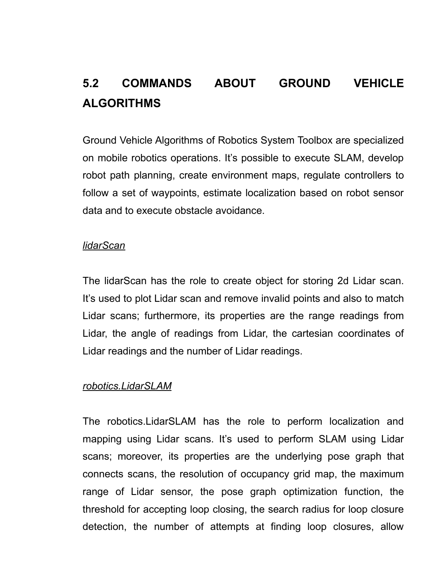# **5.2 COMMANDS ABOUT GROUND VEHICLE ALGORITHMS**

Ground Vehicle Algorithms of Robotics System Toolbox are specialized on mobile robotics operations. It's possible to execute SLAM, develop robot path planning, create environment maps, regulate controllers to follow a set of waypoints, estimate localization based on robot sensor data and to execute obstacle avoidance.

#### *lidarScan*

The lidarScan has the role to create object for storing 2d Lidar scan. It's used to plot Lidar scan and remove invalid points and also to match Lidar scans; furthermore, its properties are the range readings from Lidar, the angle of readings from Lidar, the cartesian coordinates of Lidar readings and the number of Lidar readings.

#### *robotics.LidarSLAM*

The robotics.LidarSLAM has the role to perform localization and mapping using Lidar scans. It's used to perform SLAM using Lidar scans; moreover, its properties are the underlying pose graph that connects scans, the resolution of occupancy grid map, the maximum range of Lidar sensor, the pose graph optimization function, the threshold for accepting loop closing, the search radius for loop closure detection, the number of attempts at finding loop closures, allow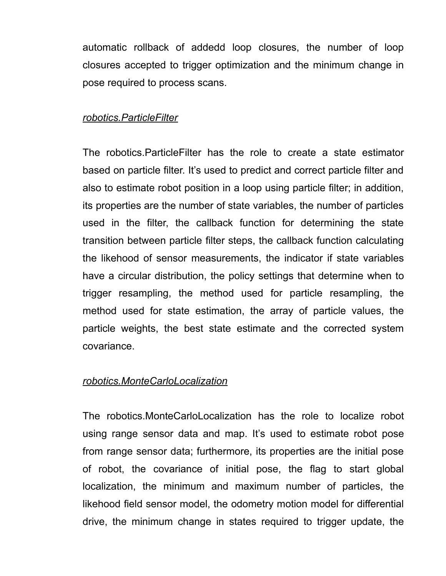automatic rollback of addedd loop closures, the number of loop closures accepted to trigger optimization and the minimum change in pose required to process scans.

#### *robotics.ParticleFilter*

The robotics.ParticleFilter has the role to create a state estimator based on particle filter. It's used to predict and correct particle filter and also to estimate robot position in a loop using particle filter; in addition, its properties are the number of state variables, the number of particles used in the filter, the callback function for determining the state transition between particle filter steps, the callback function calculating the likehood of sensor measurements, the indicator if state variables have a circular distribution, the policy settings that determine when to trigger resampling, the method used for particle resampling, the method used for state estimation, the array of particle values, the particle weights, the best state estimate and the corrected system covariance.

#### *robotics.MonteCarloLocalization*

The robotics.MonteCarloLocalization has the role to localize robot using range sensor data and map. It's used to estimate robot pose from range sensor data; furthermore, its properties are the initial pose of robot, the covariance of initial pose, the flag to start global localization, the minimum and maximum number of particles, the likehood field sensor model, the odometry motion model for differential drive, the minimum change in states required to trigger update, the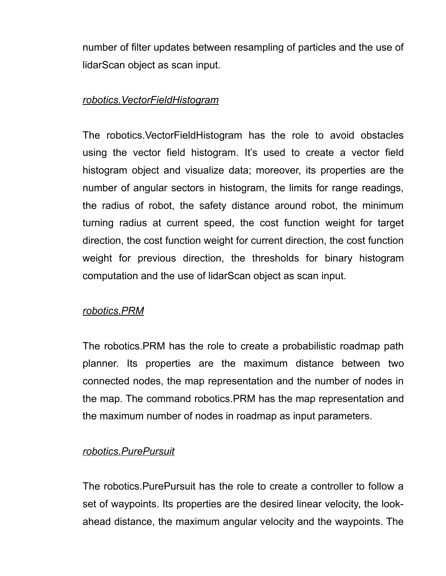number of filter updates between resampling of particles and the use of lidarScan object as scan input.

#### *robotics.VectorFieldHistogram*

The robotics.VectorFieldHistogram has the role to avoid obstacles using the vector field histogram. It's used to create a vector field histogram object and visualize data; moreover, its properties are the number of angular sectors in histogram, the limits for range readings, the radius of robot, the safety distance around robot, the minimum turning radius at current speed, the cost function weight for target direction, the cost function weight for current direction, the cost function weight for previous direction, the thresholds for binary histogram computation and the use of lidarScan object as scan input.

## *robotics.PRM*

The robotics.PRM has the role to create a probabilistic roadmap path planner. Its properties are the maximum distance between two connected nodes, the map representation and the number of nodes in the map. The command robotics.PRM has the map representation and the maximum number of nodes in roadmap as input parameters.

#### *robotics.PurePursuit*

The robotics.PurePursuit has the role to create a controller to follow a set of waypoints. Its properties are the desired linear velocity, the lookahead distance, the maximum angular velocity and the waypoints. The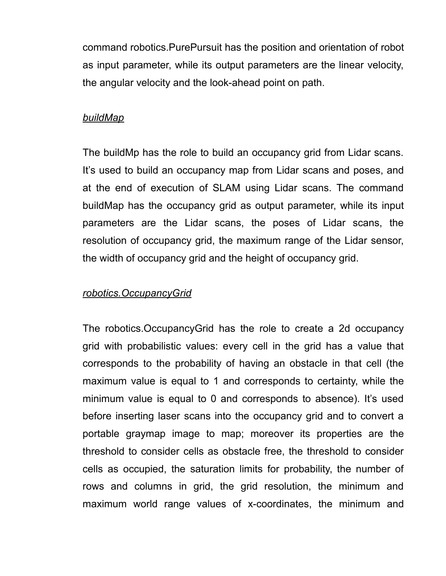command robotics.PurePursuit has the position and orientation of robot as input parameter, while its output parameters are the linear velocity, the angular velocity and the look-ahead point on path.

#### *buildMap*

The buildMp has the role to build an occupancy grid from Lidar scans. It's used to build an occupancy map from Lidar scans and poses, and at the end of execution of SLAM using Lidar scans. The command buildMap has the occupancy grid as output parameter, while its input parameters are the Lidar scans, the poses of Lidar scans, the resolution of occupancy grid, the maximum range of the Lidar sensor, the width of occupancy grid and the height of occupancy grid.

#### *robotics.OccupancyGrid*

The robotics.OccupancyGrid has the role to create a 2d occupancy grid with probabilistic values: every cell in the grid has a value that corresponds to the probability of having an obstacle in that cell (the maximum value is equal to 1 and corresponds to certainty, while the minimum value is equal to 0 and corresponds to absence). It's used before inserting laser scans into the occupancy grid and to convert a portable graymap image to map; moreover its properties are the threshold to consider cells as obstacle free, the threshold to consider cells as occupied, the saturation limits for probability, the number of rows and columns in grid, the grid resolution, the minimum and maximum world range values of x-coordinates, the minimum and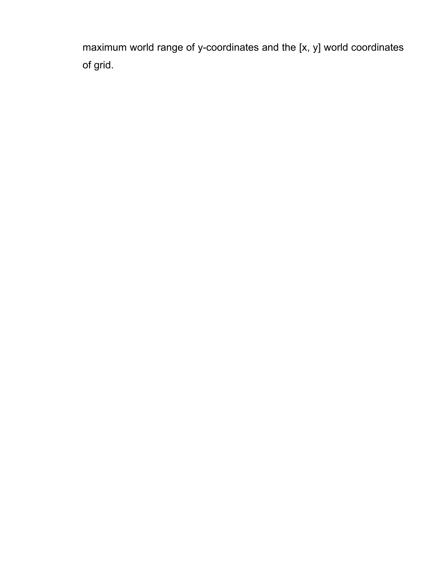maximum world range of y-coordinates and the [x, y] world coordinates of grid.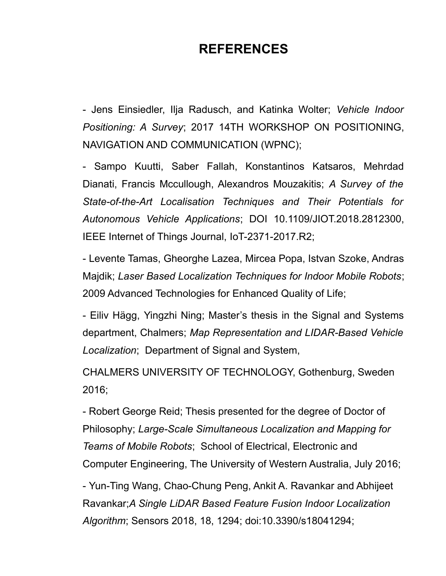# **REFERENCES**

- Jens Einsiedler, Ilja Radusch, and Katinka Wolter; *Vehicle Indoor Positioning: A Survey*; 2017 14TH WORKSHOP ON POSITIONING, NAVIGATION AND COMMUNICATION (WPNC);

- Sampo Kuutti, Saber Fallah, Konstantinos Katsaros, Mehrdad Dianati, Francis Mccullough, Alexandros Mouzakitis; *A Survey of the State-of-the-Art Localisation Techniques and Their Potentials for Autonomous Vehicle Applications*; DOI 10.1109/JIOT.2018.2812300, IEEE Internet of Things Journal, IoT-2371-2017.R2;

- Levente Tamas, Gheorghe Lazea, Mircea Popa, Istvan Szoke, Andras Majdik; *Laser Based Localization Techniques for Indoor Mobile Robots*; 2009 Advanced Technologies for Enhanced Quality of Life;

- Eiliv Hägg, Yingzhi Ning; Master's thesis in the Signal and Systems department, Chalmers; *Map Representation and LIDAR-Based Vehicle Localization*; Department of Signal and System,

CHALMERS UNIVERSITY OF TECHNOLOGY, Gothenburg, Sweden 2016;

- Robert George Reid; Thesis presented for the degree of Doctor of Philosophy; *Large-Scale Simultaneous Localization and Mapping for Teams of Mobile Robots*; School of Electrical, Electronic and Computer Engineering, The University of Western Australia, July 2016;

- Yun-Ting Wang, Chao-Chung Peng, Ankit A. Ravankar and Abhijeet Ravankar;*A Single LiDAR Based Feature Fusion Indoor Localization Algorithm*; Sensors 2018, 18, 1294; doi:10.3390/s18041294;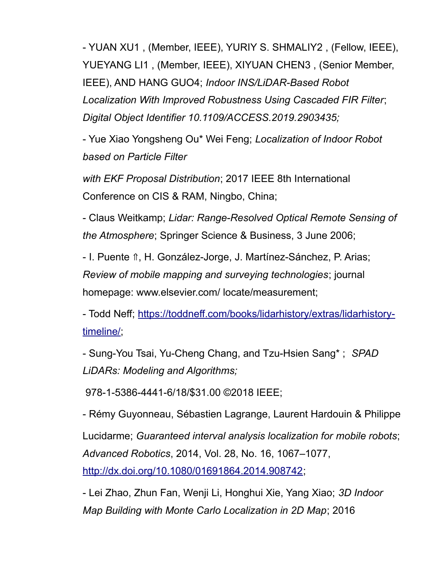- YUAN XU1 , (Member, IEEE), YURIY S. SHMALIY2 , (Fellow, IEEE), YUEYANG LI1 , (Member, IEEE), XIYUAN CHEN3 , (Senior Member, IEEE), AND HANG GUO4; *Indoor INS/LiDAR-Based Robot Localization With Improved Robustness Using Cascaded FIR Filter*; *Digital Object Identifier 10.1109/ACCESS.2019.2903435;*

- Yue Xiao Yongsheng Ou\* Wei Feng; *Localization of Indoor Robot based on Particle Filter*

*with EKF Proposal Distribution*; 2017 IEEE 8th International Conference on CIS & RAM, Ningbo, China;

- Claus Weitkamp; *Lidar: Range-Resolved Optical Remote Sensing of the Atmosphere*; Springer Science & Business, 3 June 2006;

- I. Puente î., H. González-Jorge, J. Martínez-Sánchez, P. Arias; *Review of mobile mapping and surveying technologies*; journal homepage: www.elsevier.com/ locate/measurement;

- Todd Neff; [https://toddneff.com/books/lidarhistory/extras/lidarhistory](https://toddneff.com/books/lidarhistory/extras/lidarhistory-timeline/)[timeline/;](https://toddneff.com/books/lidarhistory/extras/lidarhistory-timeline/)

- Sung-You Tsai, Yu-Cheng Chang, and Tzu-Hsien Sang\* ; *SPAD LiDARs: Modeling and Algorithms;* 

978-1-5386-4441-6/18/\$31.00 ©2018 IEEE;

- Rémy Guyonneau, Sébastien Lagrange, Laurent Hardouin & Philippe Lucidarme; *Guaranteed interval analysis localization for mobile robots*; *Advanced Robotics*, 2014, Vol. 28, No. 16, 1067–1077, [http://dx.doi.org/10.1080/01691864.2014.908742;](http://dx.doi.org/10.1080/01691864.2014.908742)

- Lei Zhao, Zhun Fan, Wenji Li, Honghui Xie, Yang Xiao; *3D Indoor Map Building with Monte Carlo Localization in 2D Map*; 2016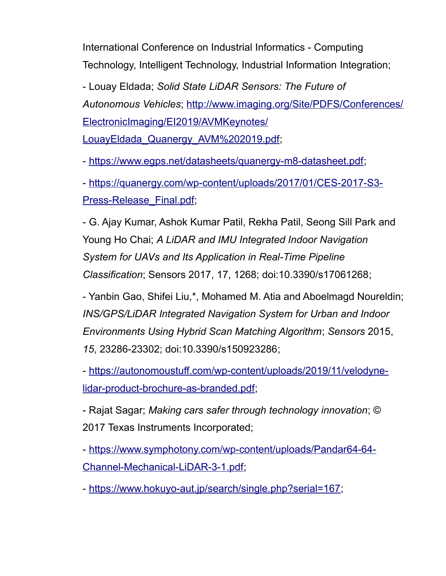International Conference on Industrial Informatics - Computing Technology, Intelligent Technology, Industrial Information Integration;

- Louay Eldada; *Solid State LiDAR Sensors: The Future of Autonomous Vehicles*; [http://www.imaging.org/Site/PDFS/Conferences/](http://www.imaging.org/Site/PDFS/Conferences/ElectronicImaging/EI2019/AVMKeynotes/LouayEldada_Quanergy_AVM%202019.pdf) [ElectronicImaging/EI2019/AVMKeynotes/](http://www.imaging.org/Site/PDFS/Conferences/ElectronicImaging/EI2019/AVMKeynotes/LouayEldada_Quanergy_AVM%202019.pdf) [LouayEldada\\_Quanergy\\_AVM%202019.pdf;](http://www.imaging.org/Site/PDFS/Conferences/ElectronicImaging/EI2019/AVMKeynotes/LouayEldada_Quanergy_AVM%202019.pdf)

- [https://www.egps.net/datasheets/quanergy-m8-datasheet.pdf;](https://www.egps.net/datasheets/quanergy-m8-datasheet.pdf)

- [https://quanergy.com/wp-content/uploads/2017/01/CES-2017-S3-](https://quanergy.com/wp-content/uploads/2017/01/CES-2017-S3-Press-Release_Final.pdf) [Press-Release\\_Final.pdf;](https://quanergy.com/wp-content/uploads/2017/01/CES-2017-S3-Press-Release_Final.pdf)

- G. Ajay Kumar, Ashok Kumar Patil, Rekha Patil, Seong Sill Park and Young Ho Chai; *A LiDAR and IMU Integrated Indoor Navigation System for UAVs and Its Application in Real-Time Pipeline Classification*; Sensors 2017, 17, 1268; doi:10.3390/s17061268;

- Yanbin Gao, Shifei Liu,\*, Mohamed M. Atia and Aboelmagd Noureldin; *INS/GPS/LiDAR Integrated Navigation System for Urban and Indoor Environments Using Hybrid Scan Matching Algorithm*; *Sensors* 2015, *15*, 23286-23302; doi:10.3390/s150923286;

- [https://autonomoustuff.com/wp-content/uploads/2019/11/velodyne](https://autonomoustuff.com/wp-content/uploads/2019/11/velodyne-lidar-product-brochure-as-branded.pdf)[lidar-product-brochure-as-branded.pdf;](https://autonomoustuff.com/wp-content/uploads/2019/11/velodyne-lidar-product-brochure-as-branded.pdf)

- Rajat Sagar; *Making cars safer through technology innovation*; © 2017 Texas Instruments Incorporated;

- [https://www.symphotony.com/wp-content/uploads/Pandar64-64-](https://www.symphotony.com/wp-content/uploads/Pandar64-64-Channel-Mechanical-LiDAR-3-1.pdf) [Channel-Mechanical-LiDAR-3-1.pdf;](https://www.symphotony.com/wp-content/uploads/Pandar64-64-Channel-Mechanical-LiDAR-3-1.pdf)

- [https://www.hokuyo-aut.jp/search/single.php?serial=167;](https://www.hokuyo-aut.jp/search/single.php?serial=167)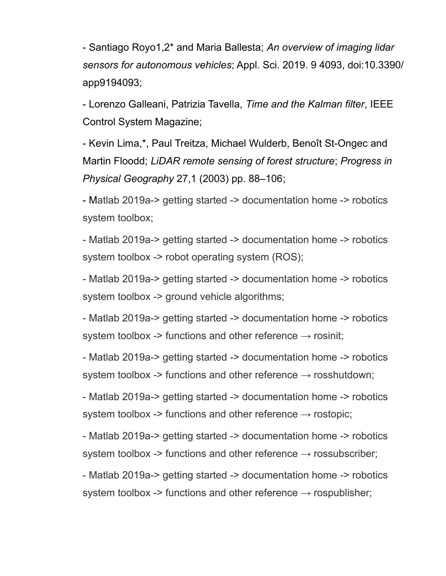- Santiago Royo1,2\* and Maria Ballesta; *An overview of imaging lidar sensors for autonomous vehicles*; Appl. Sci. 2019. 9 4093, doi:10.3390/ app9194093;

- Lorenzo Galleani, Patrizia Tavella, *Time and the Kalman filter*, IEEE Control System Magazine;

- Kevin Lima,\*, Paul Treitza, Michael Wulderb, Benoît St-Ongec and Martin Floodd; *LiDAR remote sensing of forest structure*; *Progress in Physical Geography* 27,1 (2003) pp. 88–106;

- Matlab 2019a-> getting started -> documentation home -> robotics system toolbox;

- Matlab 2019a-> getting started -> documentation home -> robotics system toolbox -> robot operating system (ROS);

- Matlab 2019a-> getting started -> documentation home -> robotics system toolbox -> ground vehicle algorithms;

- Matlab 2019a-> getting started -> documentation home -> robotics system toolbox -> functions and other reference  $\rightarrow$  rosinit;

- Matlab 2019a-> getting started -> documentation home -> robotics system toolbox -> functions and other reference  $\rightarrow$  rosshutdown;

- Matlab 2019a-> getting started -> documentation home -> robotics system toolbox -> functions and other reference  $\rightarrow$  rostopic;

- Matlab 2019a-> getting started -> documentation home -> robotics system toolbox -> functions and other reference  $\rightarrow$  rossubscriber;

- Matlab 2019a-> getting started -> documentation home -> robotics system toolbox -> functions and other reference  $\rightarrow$  rospublisher;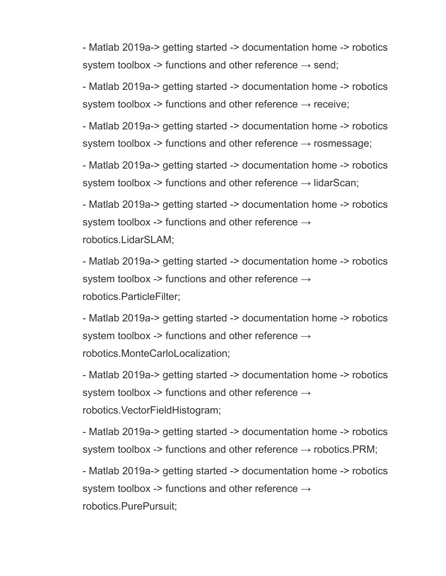- Matlab 2019a-> getting started -> documentation home -> robotics system toolbox -> functions and other reference  $\rightarrow$  send;

- Matlab 2019a-> getting started -> documentation home -> robotics system toolbox -> functions and other reference  $\rightarrow$  receive;

- Matlab 2019a-> getting started -> documentation home -> robotics system toolbox -> functions and other reference  $\rightarrow$  rosmessage;

- Matlab 2019a-> getting started -> documentation home -> robotics system toolbox -> functions and other reference  $\rightarrow$  lidarScan;

- Matlab 2019a-> getting started -> documentation home -> robotics system toolbox -> functions and other reference  $\rightarrow$ robotics.LidarSLAM;

- Matlab 2019a-> getting started -> documentation home -> robotics system toolbox -> functions and other reference  $\rightarrow$ robotics.ParticleFilter;

- Matlab 2019a-> getting started -> documentation home -> robotics system toolbox -> functions and other reference → robotics.MonteCarloLocalization;

- Matlab 2019a-> getting started -> documentation home -> robotics system toolbox -> functions and other reference  $\rightarrow$ robotics.VectorFieldHistogram;

- Matlab 2019a-> getting started -> documentation home -> robotics system toolbox -> functions and other reference  $\rightarrow$  robotics. PRM;

- Matlab 2019a-> getting started -> documentation home -> robotics system toolbox -> functions and other reference  $\rightarrow$ robotics.PurePursuit;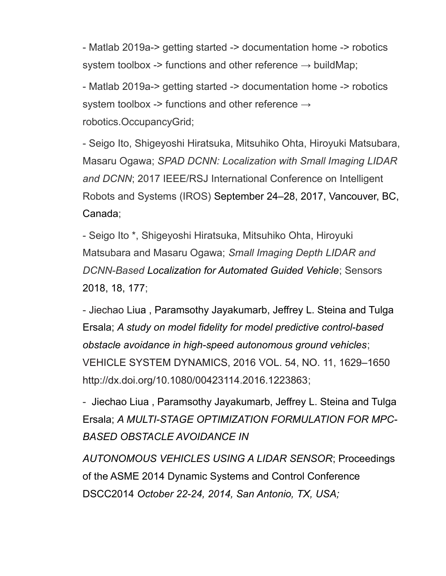- Matlab 2019a-> getting started -> documentation home -> robotics system toolbox -> functions and other reference  $\rightarrow$  buildMap;

- Matlab 2019a-> getting started -> documentation home -> robotics system toolbox -> functions and other reference  $\rightarrow$ robotics.OccupancyGrid;

- Seigo Ito, Shigeyoshi Hiratsuka, Mitsuhiko Ohta, Hiroyuki Matsubara, Masaru Ogawa; *SPAD DCNN: Localization with Small Imaging LIDAR and DCNN*; 2017 IEEE/RSJ International Conference on Intelligent Robots and Systems (IROS) September 24–28, 2017, Vancouver, BC, Canada;

- Seigo Ito \*, Shigeyoshi Hiratsuka, Mitsuhiko Ohta, Hiroyuki Matsubara and Masaru Ogawa; *Small Imaging Depth LIDAR and DCNN-Based Localization for Automated Guided Vehicle*; Sensors 2018, 18, 177;

- Jiechao Liua , Paramsothy Jayakumarb, Jeffrey L. Steina and Tulga Ersala; *A study on model fidelity for model predictive control-based obstacle avoidance in high-speed autonomous ground vehicles*; VEHICLE SYSTEM DYNAMICS, 2016 VOL. 54, NO. 11, 1629–1650 http://dx.doi.org/10.1080/00423114.2016.1223863;

- Jiechao Liua , Paramsothy Jayakumarb, Jeffrey L. Steina and Tulga Ersala; *A MULTI-STAGE OPTIMIZATION FORMULATION FOR MPC-BASED OBSTACLE AVOIDANCE IN*

*AUTONOMOUS VEHICLES USING A LIDAR SENSOR*; Proceedings of the ASME 2014 Dynamic Systems and Control Conference DSCC2014 *October 22-24, 2014, San Antonio, TX, USA;*